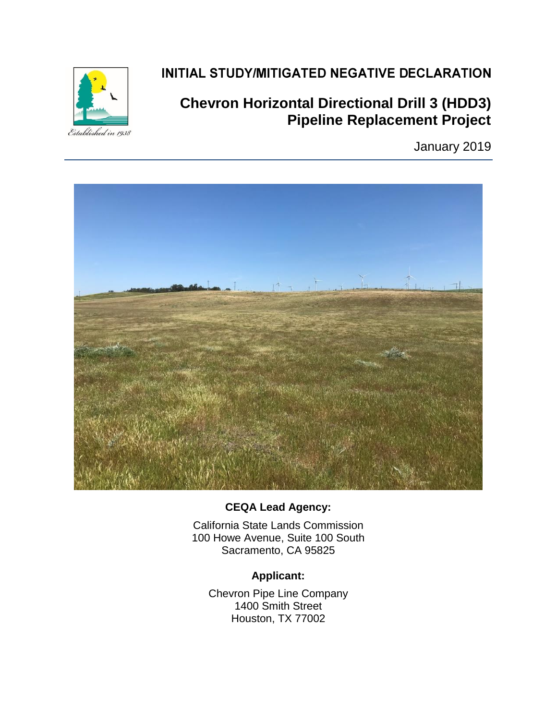

## INITIAL STUDY/MITIGATED NEGATIVE DECLARATION

# **Chevron Horizontal Directional Drill 3 (HDD3) Pipeline Replacement Project**

January 2019



#### **CEQA Lead Agency:**

California State Lands Commission 100 Howe Avenue, Suite 100 South Sacramento, CA 95825

## **Applicant:**

Chevron Pipe Line Company 1400 Smith Street Houston, TX 77002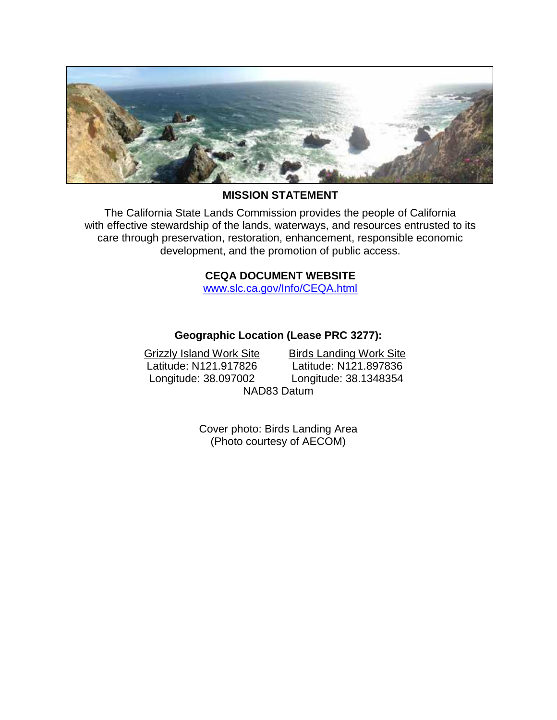

#### **MISSION STATEMENT**

The California State Lands Commission provides the people of California with effective stewardship of the lands, waterways, and resources entrusted to its care through preservation, restoration, enhancement, responsible economic development, and the promotion of public access.

#### **CEQA DOCUMENT WEBSITE**

[www.slc.ca.gov/Info/CEQA.html](http://www.slc.ca.gov/Info/CEQA.html)

#### **Geographic Location (Lease PRC 3277):**

Grizzly Island Work Site Birds Landing Work Site Latitude: N121.917826 Longitude: 38.097002 NAD83 Datum

Latitude: N121.897836 Longitude: 38.1348354

Cover photo: Birds Landing Area (Photo courtesy of AECOM)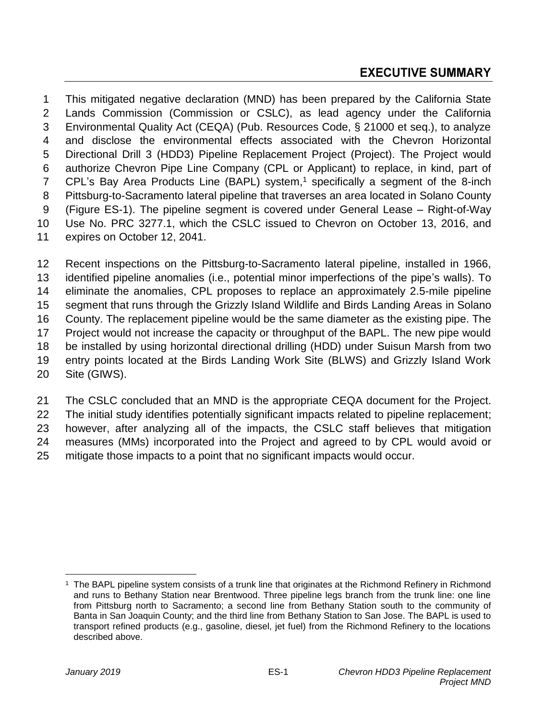This mitigated negative declaration (MND) has been prepared by the California State Lands Commission (Commission or CSLC), as lead agency under the California Environmental Quality Act (CEQA) (Pub. Resources Code, § 21000 et seq.), to analyze and disclose the environmental effects associated with the Chevron Horizontal Directional Drill 3 (HDD3) Pipeline Replacement Project (Project). The Project would authorize Chevron Pipe Line Company (CPL or Applicant) to replace, in kind, part of 7 CPL's Bay Area Products Line (BAPL) system,<sup>1</sup> specifically a segment of the 8-inch Pittsburg-to-Sacramento lateral pipeline that traverses an area located in Solano County (Figure ES-1). The pipeline segment is covered under General Lease – Right-of-Way Use No. PRC 3277.1, which the CSLC issued to Chevron on October 13, 2016, and expires on October 12, 2041.

 Recent inspections on the Pittsburg-to-Sacramento lateral pipeline, installed in 1966, identified pipeline anomalies (i.e., potential minor imperfections of the pipe's walls). To eliminate the anomalies, CPL proposes to replace an approximately 2.5-mile pipeline segment that runs through the Grizzly Island Wildlife and Birds Landing Areas in Solano County. The replacement pipeline would be the same diameter as the existing pipe. The Project would not increase the capacity or throughput of the BAPL. The new pipe would be installed by using horizontal directional drilling (HDD) under Suisun Marsh from two entry points located at the Birds Landing Work Site (BLWS) and Grizzly Island Work Site (GIWS).

 The CSLC concluded that an MND is the appropriate CEQA document for the Project. The initial study identifies potentially significant impacts related to pipeline replacement; however, after analyzing all of the impacts, the CSLC staff believes that mitigation measures (MMs) incorporated into the Project and agreed to by CPL would avoid or mitigate those impacts to a point that no significant impacts would occur.

 $\overline{a}$ 

<sup>&</sup>lt;sup>1</sup> The BAPL pipeline system consists of a trunk line that originates at the Richmond Refinery in Richmond and runs to Bethany Station near Brentwood. Three pipeline legs branch from the trunk line: one line from Pittsburg north to Sacramento; a second line from Bethany Station south to the community of Banta in San Joaquin County; and the third line from Bethany Station to San Jose. The BAPL is used to transport refined products (e.g., gasoline, diesel, jet fuel) from the Richmond Refinery to the locations described above.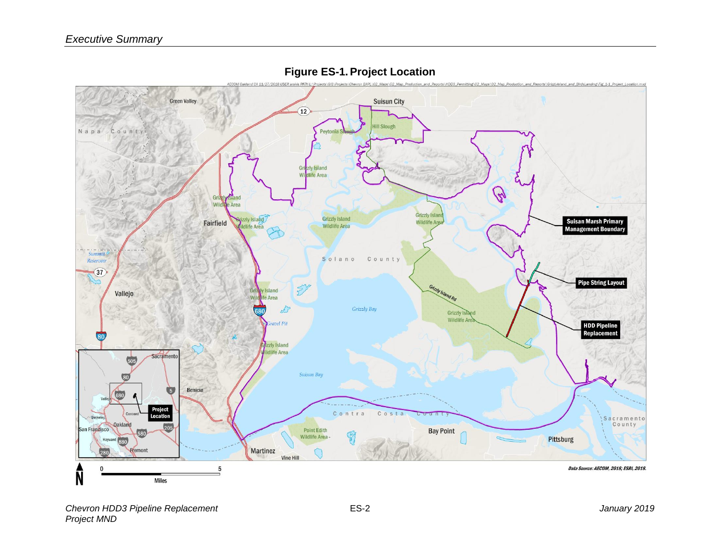

**Figure ES-1.Project Location**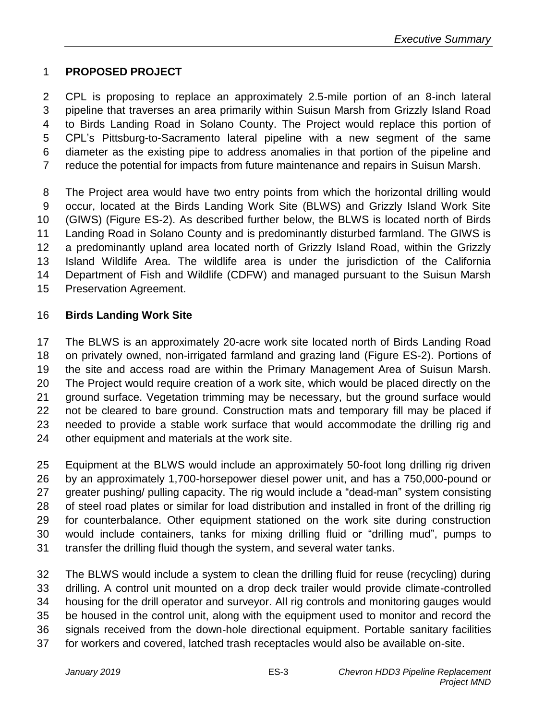## **PROPOSED PROJECT**

 CPL is proposing to replace an approximately 2.5-mile portion of an 8-inch lateral pipeline that traverses an area primarily within Suisun Marsh from Grizzly Island Road to Birds Landing Road in Solano County. The Project would replace this portion of CPL's Pittsburg-to-Sacramento lateral pipeline with a new segment of the same diameter as the existing pipe to address anomalies in that portion of the pipeline and reduce the potential for impacts from future maintenance and repairs in Suisun Marsh.

 The Project area would have two entry points from which the horizontal drilling would occur, located at the Birds Landing Work Site (BLWS) and Grizzly Island Work Site (GIWS) (Figure ES-2). As described further below, the BLWS is located north of Birds Landing Road in Solano County and is predominantly disturbed farmland. The GIWS is a predominantly upland area located north of Grizzly Island Road, within the Grizzly Island Wildlife Area. The wildlife area is under the jurisdiction of the California Department of Fish and Wildlife (CDFW) and managed pursuant to the Suisun Marsh Preservation Agreement.

## **Birds Landing Work Site**

 The BLWS is an approximately 20-acre work site located north of Birds Landing Road on privately owned, non-irrigated farmland and grazing land (Figure ES-2). Portions of the site and access road are within the Primary Management Area of Suisun Marsh. The Project would require creation of a work site, which would be placed directly on the ground surface. Vegetation trimming may be necessary, but the ground surface would not be cleared to bare ground. Construction mats and temporary fill may be placed if needed to provide a stable work surface that would accommodate the drilling rig and other equipment and materials at the work site.

 Equipment at the BLWS would include an approximately 50-foot long drilling rig driven by an approximately 1,700-horsepower diesel power unit, and has a 750,000-pound or greater pushing/ pulling capacity. The rig would include a "dead-man" system consisting of steel road plates or similar for load distribution and installed in front of the drilling rig for counterbalance. Other equipment stationed on the work site during construction would include containers, tanks for mixing drilling fluid or "drilling mud", pumps to transfer the drilling fluid though the system, and several water tanks.

 The BLWS would include a system to clean the drilling fluid for reuse (recycling) during drilling. A control unit mounted on a drop deck trailer would provide climate-controlled housing for the drill operator and surveyor. All rig controls and monitoring gauges would be housed in the control unit, along with the equipment used to monitor and record the signals received from the down-hole directional equipment. Portable sanitary facilities for workers and covered, latched trash receptacles would also be available on-site.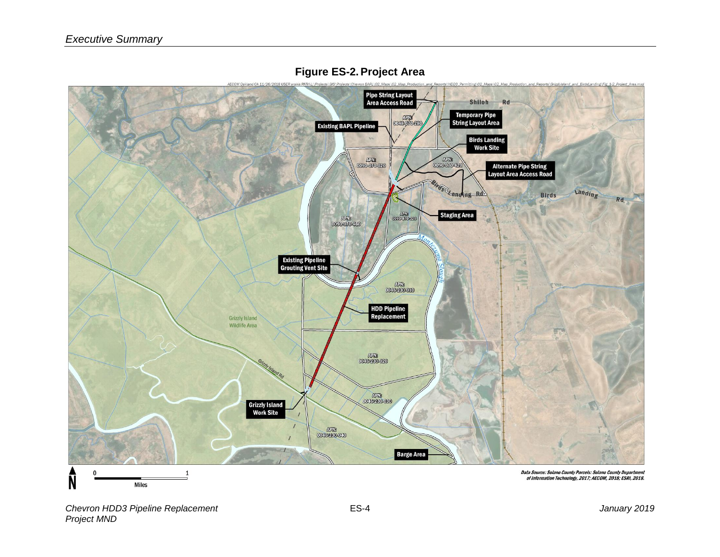

#### **Figure ES-2.Project Area**

*Chevron HDD3 Pipeline Replacement* ES-4 *January 2019 Project MND*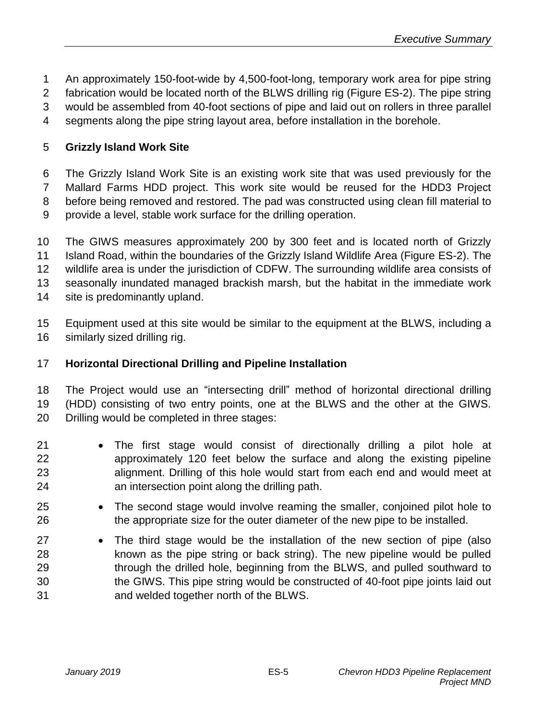- An approximately 150-foot-wide by 4,500-foot-long, temporary work area for pipe string
- fabrication would be located north of the BLWS drilling rig (Figure ES-2). The pipe string
- would be assembled from 40-foot sections of pipe and laid out on rollers in three parallel
- segments along the pipe string layout area, before installation in the borehole.

## **Grizzly Island Work Site**

 The Grizzly Island Work Site is an existing work site that was used previously for the Mallard Farms HDD project. This work site would be reused for the HDD3 Project before being removed and restored. The pad was constructed using clean fill material to

provide a level, stable work surface for the drilling operation.

 The GIWS measures approximately 200 by 300 feet and is located north of Grizzly Island Road, within the boundaries of the Grizzly Island Wildlife Area (Figure ES-2). The wildlife area is under the jurisdiction of CDFW. The surrounding wildlife area consists of seasonally inundated managed brackish marsh, but the habitat in the immediate work site is predominantly upland.

 Equipment used at this site would be similar to the equipment at the BLWS, including a similarly sized drilling rig.

## **Horizontal Directional Drilling and Pipeline Installation**

 The Project would use an "intersecting drill" method of horizontal directional drilling (HDD) consisting of two entry points, one at the BLWS and the other at the GIWS. Drilling would be completed in three stages:

- The first stage would consist of directionally drilling a pilot hole at approximately 120 feet below the surface and along the existing pipeline alignment. Drilling of this hole would start from each end and would meet at an intersection point along the drilling path.
- The second stage would involve reaming the smaller, conjoined pilot hole to the appropriate size for the outer diameter of the new pipe to be installed.
- The third stage would be the installation of the new section of pipe (also known as the pipe string or back string). The new pipeline would be pulled through the drilled hole, beginning from the BLWS, and pulled southward to the GIWS. This pipe string would be constructed of 40-foot pipe joints laid out and welded together north of the BLWS.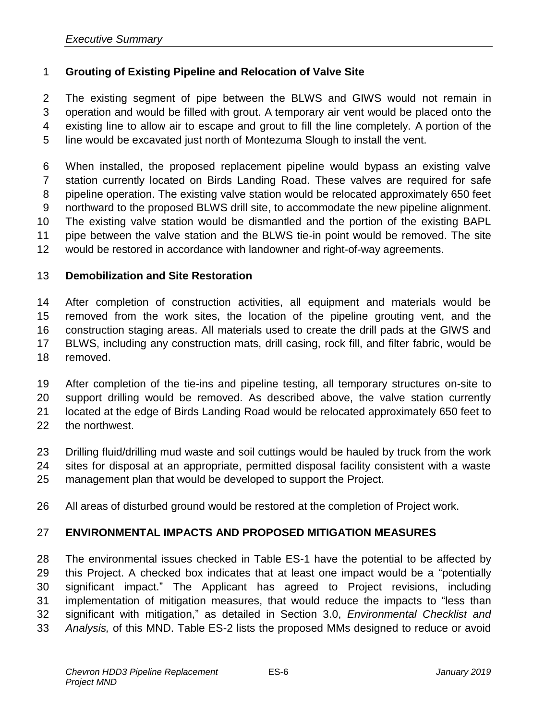## **Grouting of Existing Pipeline and Relocation of Valve Site**

 The existing segment of pipe between the BLWS and GIWS would not remain in operation and would be filled with grout. A temporary air vent would be placed onto the existing line to allow air to escape and grout to fill the line completely. A portion of the line would be excavated just north of Montezuma Slough to install the vent.

 When installed, the proposed replacement pipeline would bypass an existing valve station currently located on Birds Landing Road. These valves are required for safe pipeline operation. The existing valve station would be relocated approximately 650 feet northward to the proposed BLWS drill site, to accommodate the new pipeline alignment. The existing valve station would be dismantled and the portion of the existing BAPL pipe between the valve station and the BLWS tie-in point would be removed. The site would be restored in accordance with landowner and right-of-way agreements.

#### **Demobilization and Site Restoration**

 After completion of construction activities, all equipment and materials would be removed from the work sites, the location of the pipeline grouting vent, and the construction staging areas. All materials used to create the drill pads at the GIWS and BLWS, including any construction mats, drill casing, rock fill, and filter fabric, would be removed.

 After completion of the tie-ins and pipeline testing, all temporary structures on-site to support drilling would be removed. As described above, the valve station currently located at the edge of Birds Landing Road would be relocated approximately 650 feet to the northwest.

- Drilling fluid/drilling mud waste and soil cuttings would be hauled by truck from the work sites for disposal at an appropriate, permitted disposal facility consistent with a waste management plan that would be developed to support the Project.
- All areas of disturbed ground would be restored at the completion of Project work.

#### **ENVIRONMENTAL IMPACTS AND PROPOSED MITIGATION MEASURES**

 The environmental issues checked in Table ES-1 have the potential to be affected by this Project. A checked box indicates that at least one impact would be a "potentially significant impact." The Applicant has agreed to Project revisions, including implementation of mitigation measures, that would reduce the impacts to "less than significant with mitigation," as detailed in Section 3.0, *Environmental Checklist and Analysis,* of this MND. Table ES-2 lists the proposed MMs designed to reduce or avoid